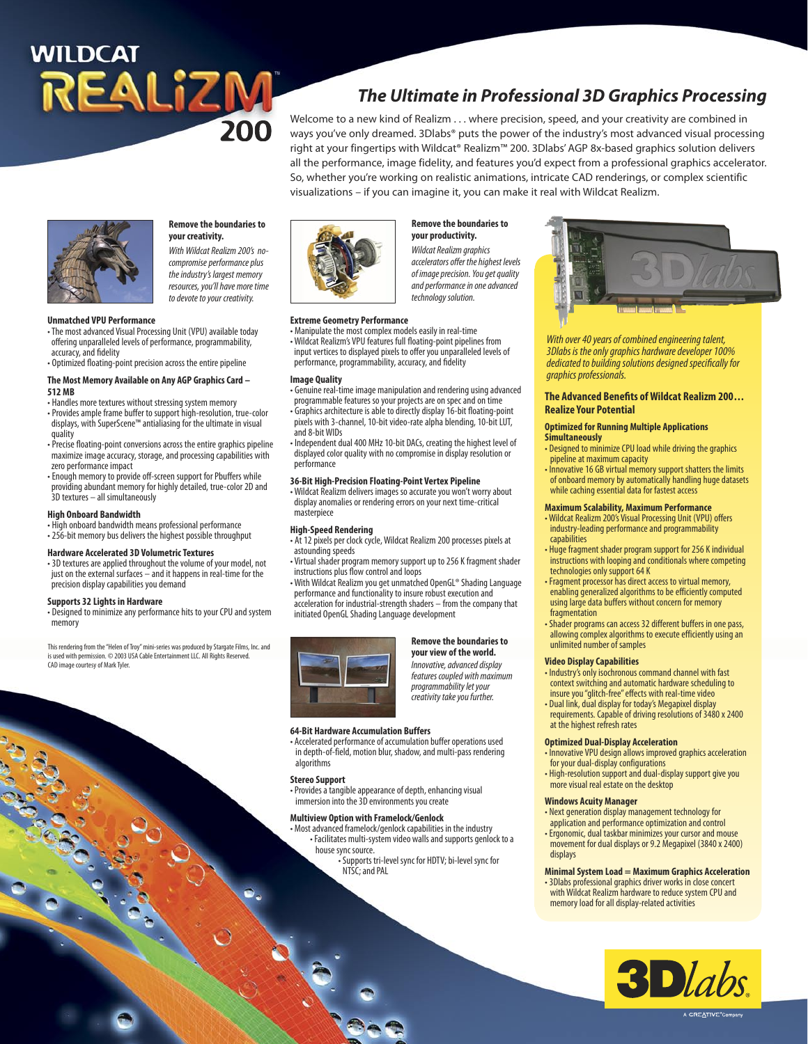# **WILDCAT** REALIZM

# **The Ultimate in Professional 3D Graphics Processing**

Welcome to a new kind of Realizm . . . where precision, speed, and your creativity are combined in ways you've only dreamed. 3Dlabs® puts the power of the industry's most advanced visual processing right at your fingertips with Wildcat® Realizm™ 200. 3Dlabs' AGP 8x-based graphics solution delivers all the performance, image fidelity, and features you'd expect from a professional graphics accelerator. So, whether you're working on realistic animations, intricate CAD renderings, or complex scientific visualizations – if you can imagine it, you can make it real with Wildcat Realizm.



# **Remove the boundaries to your creativity.**

With Wildcat Realizm 200's nocompromise performance plus the industry's largest memory resources, you'll have more time to devote to your creativity.

#### **Unmatched VPU Performance**

- The most advanced Visual Processing Unit (VPU) available today offering unparalleled levels of performance, programmability, accuracy, and fidelity
- Optimized floating-point precision across the entire pipeline

# **The Most Memory Available on Any AGP Graphics Card –**

- **512 MB**
- Handles more textures without stressing system memory
- Provides ample frame buffer to support high-resolution, true-color displays, with SuperScene™ antialiasing for the ultimate in visual quality
- Precise floating-point conversions across the entire graphics pipeline maximize image accuracy, storage, and processing capabilities with zero performance impact
- Enough memory to provide off-screen support for Pbuffers while providing abundant memory for highly detailed, true-color 2D and 3D textures – all simultaneously

#### **High Onboard Bandwidth**

- High onboard bandwidth means professional performance
- 256-bit memory bus delivers the highest possible throughput

#### **Hardware Accelerated 3D Volumetric Textures**

• 3D textures are applied throughout the volume of your model, not just on the external surfaces – and it happens in real-time for the precision display capabilities you demand

#### **Supports 32 Lights in Hardware**

• Designed to minimize any performance hits to your CPU and system memory

This rendering from the "Helen of Troy" mini-series was produced by Stargate Films, Inc. and is used with permission. © 2003 USA Cable Entertainment LLC. All Rights Reserved. CAD image courtesy of Mark Tyler.



#### **Extreme Geometry Performance**

• Manipulate the most complex models easily in real-time • Wildcat Realizm's VPU features full floating-point pipelines from input vertices to displayed pixels to offer you unparalleled levels of performance, programmability, accuracy, and fidelity

#### **Image Quality**

- Genuine real-time image manipulation and rendering using advanced programmable features so your projects are on spec and on time
- Graphics architecture is able to directly display 16-bit floating-point pixels with 3-channel, 10-bit video-rate alpha blending, 10-bit LUT,
- and 8-bit WIDs
- Independent dual 400 MHz 10-bit DACs, creating the highest level of displayed color quality with no compromise in display resolution or performance

#### **36-Bit High-Precision Floating-Point Vertex Pipeline**

- Wildcat Realizm delivers images so accurate you won't worry about display anomalies or rendering errors on your next time-critical masterpiece
- At 12 pixels per clock cycle, Wildcat Realizm 200 processes pixels at astounding speeds
- instructions plus flow control and loops

performance and functionality to insure robust execution and acceleration for industrial-strength shaders – from the company that initiated OpenGL Shading Language development



#### **Remove the boundaries to your view of the world.**

Innovative, advanced display features coupled with maximum programmability let your creativity take you further.

#### **64-Bit Hardware Accumulation Buffers**

• Accelerated performance of accumulation buffer operations used in depth-of-field, motion blur, shadow, and multi-pass rendering algorithms

#### **Stereo Support**

• Provides a tangible appearance of depth, enhancing visual immersion into the 3D environments you create

#### **Multiview Option with Framelock/Genlock**

- Most advanced framelock/genlock capabilities in the industry • Facilitates multi-system video walls and supports genlock to a house sync source.
	- Supports tri-level sync for HDTV; bi-level sync for NTSC; and PAL



With over 40 years of combined engineering talent, 3Dlabs is the only graphics hardware developer 100% dedicated to building solutions designed specifically for graphics professionals.

#### **The Advanced Benefits of Wildcat Realizm 200 . . . Realize Your Potential**

#### **Optimized for Running Multiple Applications Simultaneously**

- Designed to minimize CPU load while driving the graphics pipeline at maximum capacity
- Innovative 16 GB virtual memory support shatters the limits of onboard memory by automatically handling huge datasets while caching essential data for fastest access

#### **Maximum Scalability, Maximum Performance**

- Wildcat Realizm 200's Visual Processing Unit (VPU) offers industry-leading performance and programmability capabilities
- Huge fragment shader program support for 256 K individual instructions with looping and conditionals where competing technologies only support 64 K
- Fragment processor has direct access to virtual memory, enabling generalized algorithms to be efficiently computed using large data buffers without concern for memory fragmentation
- Shader programs can access 32 different buffers in one pass, allowing complex algorithms to execute efficiently using an unlimited number of samples

#### **Video Display Capabilities**

- Industry's only isochronous command channel with fast context switching and automatic hardware scheduling to insure you "glitch-free" effects with real-time video
- Dual link, dual display for today's Megapixel display requirements. Capable of driving resolutions of 3480 x 2400 at the highest refresh rates

#### **Optimized Dual-Display Acceleration**

- Innovative VPU design allows improved graphics acceleration for your dual-display configurations
- High-resolution support and dual-display support give you more visual real estate on the desktop

#### **Windows Acuity Manager**

- Next generation display management technology for application and performance optimization and control
- Ergonomic, dual taskbar minimizes your cursor and mouse movement for dual displays or 9.2 Megapixel (3840 x 2400) displays

#### **Minimal System Load = Maximum Graphics Acceleration**

• 3Dlabs professional graphics driver works in close concert with Wildcat Realizm hardware to reduce system CPU and memory load for all display-related activities





# **High-Speed Rendering**

• Virtual shader program memory support up to 256 K fragment shader

• With Wildcat Realizm you get unmatched OpenGL® Shading Language



**Remove the boundaries to your productivity.** Wildcat Realizm graphics accelerators offer the highest levels of image precision. You get quality and performance in one advanced technology solution.